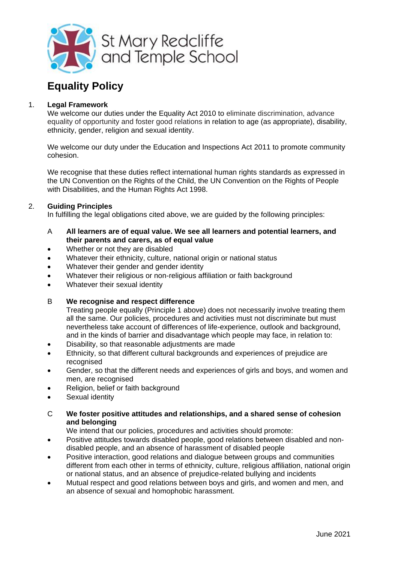

# **Equality Policy**

# 1. **Legal Framework**

We welcome our duties under the Equality Act 2010 to eliminate discrimination, advance equality of opportunity and foster good relations in relation to age (as appropriate), disability, ethnicity, gender, religion and sexual identity.

We welcome our duty under the Education and Inspections Act 2011 to promote community cohesion.

We recognise that these duties reflect international human rights standards as expressed in the UN Convention on the Rights of the Child, the UN Convention on the Rights of People with Disabilities, and the Human Rights Act 1998.

# 2. **Guiding Principles**

In fulfilling the legal obligations cited above, we are guided by the following principles:

- A **All learners are of equal value. We see all learners and potential learners, and their parents and carers, as of equal value**
- Whether or not they are disabled
- Whatever their ethnicity, culture, national origin or national status
- Whatever their gender and gender identity
- Whatever their religious or non-religious affiliation or faith background
- Whatever their sexual identity

# B **We recognise and respect difference**

Treating people equally (Principle 1 above) does not necessarily involve treating them all the same. Our policies, procedures and activities must not discriminate but must nevertheless take account of differences of life-experience, outlook and background, and in the kinds of barrier and disadvantage which people may face, in relation to:

- Disability, so that reasonable adjustments are made
- Ethnicity, so that different cultural backgrounds and experiences of prejudice are recognised
- Gender, so that the different needs and experiences of girls and boys, and women and men, are recognised
- Religion, belief or faith background
- Sexual identity

# C **We foster positive attitudes and relationships, and a shared sense of cohesion and belonging**

We intend that our policies, procedures and activities should promote:

- Positive attitudes towards disabled people, good relations between disabled and nondisabled people, and an absence of harassment of disabled people
- Positive interaction, good relations and dialogue between groups and communities different from each other in terms of ethnicity, culture, religious affiliation, national origin or national status, and an absence of prejudice-related bullying and incidents
- Mutual respect and good relations between boys and girls, and women and men, and an absence of sexual and homophobic harassment.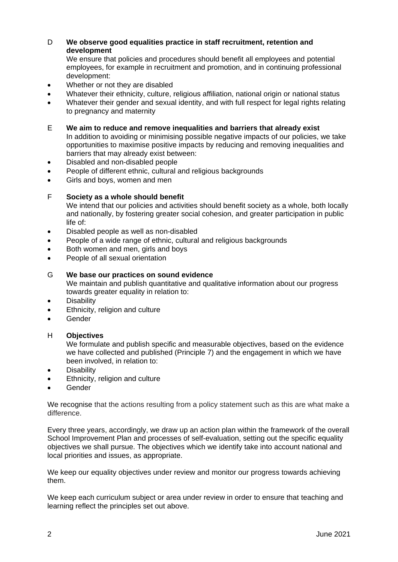# D **We observe good equalities practice in staff recruitment, retention and development**

We ensure that policies and procedures should benefit all employees and potential employees, for example in recruitment and promotion, and in continuing professional development:

- Whether or not they are disabled
- Whatever their ethnicity, culture, religious affiliation, national origin or national status
- Whatever their gender and sexual identity, and with full respect for legal rights relating to pregnancy and maternity

E **We aim to reduce and remove inequalities and barriers that already exist** In addition to avoiding or minimising possible negative impacts of our policies, we take opportunities to maximise positive impacts by reducing and removing inequalities and barriers that may already exist between:

- Disabled and non-disabled people
- People of different ethnic, cultural and religious backgrounds
- Girls and boys, women and men

## F **Society as a whole should benefit**

We intend that our policies and activities should benefit society as a whole, both locally and nationally, by fostering greater social cohesion, and greater participation in public life of:

- Disabled people as well as non-disabled
- People of a wide range of ethnic, cultural and religious backgrounds
- Both women and men, girls and boys
- People of all sexual orientation

## G **We base our practices on sound evidence**

We maintain and publish quantitative and qualitative information about our progress towards greater equality in relation to:

- **•** Disability
- Ethnicity, religion and culture
- **•** Gender

#### H **Objectives**

We formulate and publish specific and measurable objectives, based on the evidence we have collected and published (Principle 7) and the engagement in which we have been involved, in relation to:

- **Disability**
- Ethnicity, religion and culture
- Gender

We recognise that the actions resulting from a policy statement such as this are what make a difference.

Every three years, accordingly, we draw up an action plan within the framework of the overall School Improvement Plan and processes of self-evaluation, setting out the specific equality objectives we shall pursue. The objectives which we identify take into account national and local priorities and issues, as appropriate.

We keep our equality objectives under review and monitor our progress towards achieving them.

We keep each curriculum subject or area under review in order to ensure that teaching and learning reflect the principles set out above.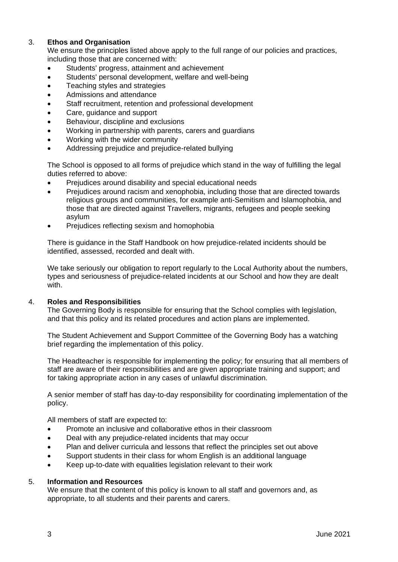# 3. **Ethos and Organisation**

We ensure the principles listed above apply to the full range of our policies and practices, including those that are concerned with:

- Students' progress, attainment and achievement
- Students' personal development, welfare and well-being
- Teaching styles and strategies
- Admissions and attendance
- Staff recruitment, retention and professional development
- Care, guidance and support
- Behaviour, discipline and exclusions
- Working in partnership with parents, carers and guardians
- Working with the wider community
- Addressing prejudice and prejudice-related bullying

The School is opposed to all forms of prejudice which stand in the way of fulfilling the legal duties referred to above:

- Prejudices around disability and special educational needs
- Prejudices around racism and xenophobia, including those that are directed towards religious groups and communities, for example anti-Semitism and Islamophobia, and those that are directed against Travellers, migrants, refugees and people seeking asylum
- Prejudices reflecting sexism and homophobia

There is guidance in the Staff Handbook on how prejudice-related incidents should be identified, assessed, recorded and dealt with.

We take seriously our obligation to report regularly to the Local Authority about the numbers, types and seriousness of prejudice-related incidents at our School and how they are dealt with.

# 4. **Roles and Responsibilities**

The Governing Body is responsible for ensuring that the School complies with legislation, and that this policy and its related procedures and action plans are implemented.

The Student Achievement and Support Committee of the Governing Body has a watching brief regarding the implementation of this policy.

The Headteacher is responsible for implementing the policy; for ensuring that all members of staff are aware of their responsibilities and are given appropriate training and support; and for taking appropriate action in any cases of unlawful discrimination.

A senior member of staff has day-to-day responsibility for coordinating implementation of the policy.

All members of staff are expected to:

- Promote an inclusive and collaborative ethos in their classroom
- Deal with any prejudice-related incidents that may occur
- Plan and deliver curricula and lessons that reflect the principles set out above
- Support students in their class for whom English is an additional language
- Keep up-to-date with equalities legislation relevant to their work

# 5. **Information and Resources**

We ensure that the content of this policy is known to all staff and governors and, as appropriate, to all students and their parents and carers.